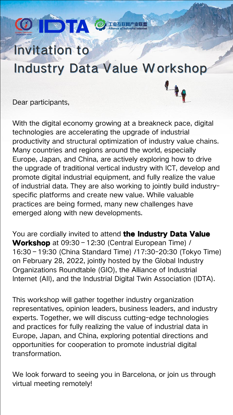## Invitation to Industry Data Value Workshop

Dear participants,

DTA

With the digital economy growing at a breakneck pace, digital technologies are accelerating the upgrade of industrial productivity and structural optimization of industry value chains. Many countries and regions around the world, especially Europe, Japan, and China, are actively exploring how to drive the upgrade of traditional vertical industry with ICT, develop and promote digital industrial equipment, and fully realize the value of industrial data. They are also working to jointly build industry specific platforms and create new value. While valuable practices are being formed, many new challenges have emerged along with new developments.

You are cordially invited to attend **the Industry Data Value**<br>Workshop at 09:30 – 12:30 (Central European Time) / 16:30–19:30 (China Standard Time) /17:30-20:30 (Tokyo Time) on February 28, 2022, jointly hosted bythe Global Industry Organizations Roundtable (GIO), the Alliance of Industrial Internet (AII), and the Industrial Digital Twin Association (IDTA).

We look forward to seeing you in Barcelona, or join us through virtual meeting remotely!

This workshop will gather together industry organization representatives, opinion leaders, business leaders, and industry experts. Together, we will discuss cutting-edge technologies and practices for fully realizing the value of industrial data in Europe, Japan, and China, exploring potential directions and opportunities for cooperation to promote industrial digital transformation.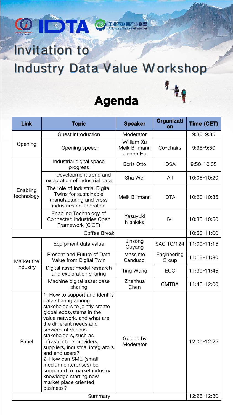

## Invitation to

## Industry Data Value Workshop





| <b>Link</b>                   | <b>Topic</b>                                                                                                                                                                                                                                                                                                                                                                                                                                                        | <b>Speaker</b>                                  | <b>Organizati</b><br><b>on</b> | <b>Time (CET)</b> |
|-------------------------------|---------------------------------------------------------------------------------------------------------------------------------------------------------------------------------------------------------------------------------------------------------------------------------------------------------------------------------------------------------------------------------------------------------------------------------------------------------------------|-------------------------------------------------|--------------------------------|-------------------|
| Opening                       | <b>Guest introduction</b>                                                                                                                                                                                                                                                                                                                                                                                                                                           | Moderator                                       |                                | $9:30 - 9:35$     |
|                               | Opening speech                                                                                                                                                                                                                                                                                                                                                                                                                                                      | William Xu<br><b>Meik Billmann</b><br>Jianbo Hu | Co-chairs                      | $9:35 - 9:50$     |
| Enabling<br>technology        | Industrial digital space<br>progress                                                                                                                                                                                                                                                                                                                                                                                                                                | <b>Boris Otto</b>                               | <b>IDSA</b>                    | $9:50 - 10:05$    |
|                               | Development trend and<br>exploration of industrial data                                                                                                                                                                                                                                                                                                                                                                                                             | Sha Wei                                         | All                            | 10:05-10:20       |
|                               | The role of Industrial Digital<br>Twins for sustainable<br>manufacturing and cross<br>industries collaboration                                                                                                                                                                                                                                                                                                                                                      | Meik Billmann                                   | <b>IDTA</b>                    | 10:20-10:35       |
|                               | Enabling Technology of<br><b>Connected Industries Open</b><br>Framework (CIOF)                                                                                                                                                                                                                                                                                                                                                                                      | Yasuyuki<br>Nishioka                            | <b>IVI</b>                     | 10:35-10:50       |
| <b>Coffee Break</b>           |                                                                                                                                                                                                                                                                                                                                                                                                                                                                     |                                                 | 10:50-11:00                    |                   |
| Market the<br><i>industry</i> | Equipment data value                                                                                                                                                                                                                                                                                                                                                                                                                                                | Jinsong<br>Ouyang                               | <b>SAC TC/124</b>              | 11:00-11:15       |
|                               | Present and Future of Data<br>Value from Digital Twin                                                                                                                                                                                                                                                                                                                                                                                                               | <b>Massimo</b><br>Canducci                      | <b>Engineering</b><br>Group    | 11:15-11:30       |
|                               | Digital asset model research<br>and exploration sharing                                                                                                                                                                                                                                                                                                                                                                                                             | Ting Wang                                       | <b>ECC</b>                     | 11:30-11:45       |
|                               | Machine digital asset case<br>sharing                                                                                                                                                                                                                                                                                                                                                                                                                               | <b>Zhenhua</b><br>Chen                          | <b>CMTBA</b>                   | 11:45-12:00       |
| Panel                         | 1, How to support and identify<br>data sharing among<br>stakeholders to jointly create<br>global ecosystems in the<br>value network, and what are<br>the different needs and<br>services of various<br>stakeholders, such as<br>infrastructure providers,<br>suppliers, industrial integrators<br>and end users?<br>2, How can SME (small<br>medium enterprises) be<br>supported to market industry<br>knowledge starting new<br>market place oriented<br>business? | Guided by<br>Moderator                          |                                | 12:00-12:25       |
| Summary                       |                                                                                                                                                                                                                                                                                                                                                                                                                                                                     |                                                 |                                | 12:25-12:30       |